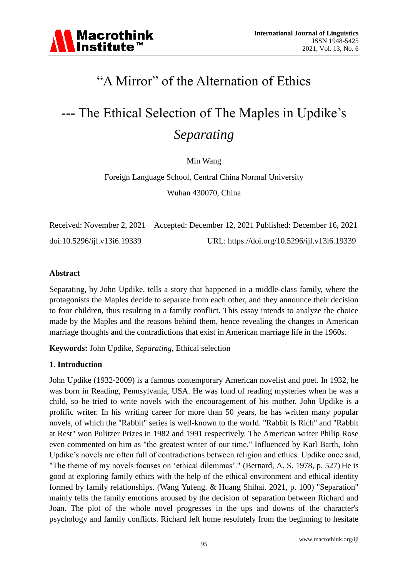# "A Mirror" of the Alternation of Ethics

# --- The Ethical Selection of The Maples in Updike"s *Separating*

Min Wang

Foreign Language School, Central China Normal University Wuhan 430070, China

|                             | Received: November 2, 2021 Accepted: December 12, 2021 Published: December 16, 2021 |
|-----------------------------|-------------------------------------------------------------------------------------|
| doi:10.5296/ijl.v13i6.19339 | URL: https://doi.org/10.5296/ijl.v13i6.19339                                        |

#### **Abstract**

Separating, by John Updike, tells a story that happened in a middle-class family, where the protagonists the Maples decide to separate from each other, and they announce their decision to four children, thus resulting in a family conflict. This essay intends to analyze the choice made by the Maples and the reasons behind them, hence revealing the changes in American marriage thoughts and the contradictions that exist in American marriage life in the 1960s.

**Keywords:** John Updike, *Separating*, Ethical selection

# **1. Introduction**

John Updike (1932-2009) is a famous contemporary American novelist and poet. In 1932, he was born in Reading, Pennsylvania, USA. He was fond of reading mysteries when he was a child, so he tried to write novels with the encouragement of his mother. John Updike is a prolific writer. In his writing career for more than 50 years, he has written many popular novels, of which the "Rabbit" series is well-known to the world. "Rabbit Is Rich" and "Rabbit at Rest" won Pulitzer Prizes in 1982 and 1991 respectively. The American writer Philip Rose even commented on him as "the greatest writer of our time." Influenced by Karl Barth, John Updike"s novels are often full of contradictions between religion and ethics. Updike once said, "The theme of my novels focuses on 'ethical dilemmas'." (Bernard, A. S. 1978, p. 527) He is good at exploring family ethics with the help of the ethical environment and ethical identity formed by family relationships. (Wang Yufeng. & Huang Shihai. 2021, p. 100) "Separation" mainly tells the family emotions aroused by the decision of separation between Richard and Joan. The plot of the whole novel progresses in the ups and downs of the character's psychology and family conflicts. Richard left home resolutely from the beginning to hesitate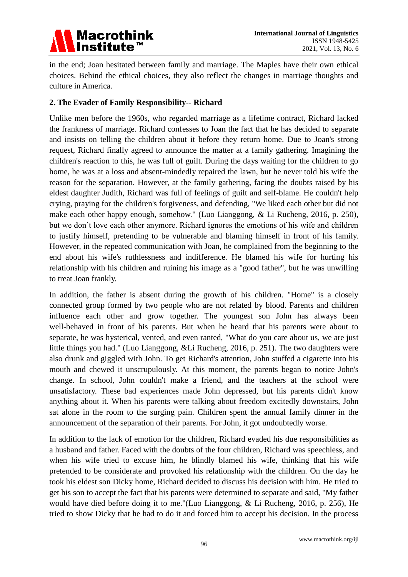

in the end; Joan hesitated between family and marriage. The Maples have their own ethical choices. Behind the ethical choices, they also reflect the changes in marriage thoughts and culture in America.

# **2. The Evader of Family Responsibility-- Richard**

Unlike men before the 1960s, who regarded marriage as a lifetime contract, Richard lacked the frankness of marriage. Richard confesses to Joan the fact that he has decided to separate and insists on telling the children about it before they return home. Due to Joan's strong request, Richard finally agreed to announce the matter at a family gathering. Imagining the children's reaction to this, he was full of guilt. During the days waiting for the children to go home, he was at a loss and absent-mindedly repaired the lawn, but he never told his wife the reason for the separation. However, at the family gathering, facing the doubts raised by his eldest daughter Judith, Richard was full of feelings of guilt and self-blame. He couldn't help crying, praying for the children's forgiveness, and defending, "We liked each other but did not make each other happy enough, somehow." (Luo Lianggong, & Li Rucheng, 2016, p. 250), but we don"t love each other anymore. Richard ignores the emotions of his wife and children to justify himself, pretending to be vulnerable and blaming himself in front of his family. However, in the repeated communication with Joan, he complained from the beginning to the end about his wife's ruthlessness and indifference. He blamed his wife for hurting his relationship with his children and ruining his image as a "good father", but he was unwilling to treat Joan frankly.

In addition, the father is absent during the growth of his children. "Home" is a closely connected group formed by two people who are not related by blood. Parents and children influence each other and grow together. The youngest son John has always been well-behaved in front of his parents. But when he heard that his parents were about to separate, he was hysterical, vented, and even ranted, "What do you care about us, we are just little things you had." (Luo Lianggong, &Li Rucheng, 2016, p. 251). The two daughters were also drunk and giggled with John. To get Richard's attention, John stuffed a cigarette into his mouth and chewed it unscrupulously. At this moment, the parents began to notice John's change. In school, John couldn't make a friend, and the teachers at the school were unsatisfactory. These bad experiences made John depressed, but his parents didn't know anything about it. When his parents were talking about freedom excitedly downstairs, John sat alone in the room to the surging pain. Children spent the annual family dinner in the announcement of the separation of their parents. For John, it got undoubtedly worse.

In addition to the lack of emotion for the children, Richard evaded his due responsibilities as a husband and father. Faced with the doubts of the four children, Richard was speechless, and when his wife tried to excuse him, he blindly blamed his wife, thinking that his wife pretended to be considerate and provoked his relationship with the children. On the day he took his eldest son Dicky home, Richard decided to discuss his decision with him. He tried to get his son to accept the fact that his parents were determined to separate and said, "My father would have died before doing it to me."(Luo Lianggong, & Li Rucheng, 2016, p. 256), He tried to show Dicky that he had to do it and forced him to accept his decision. In the process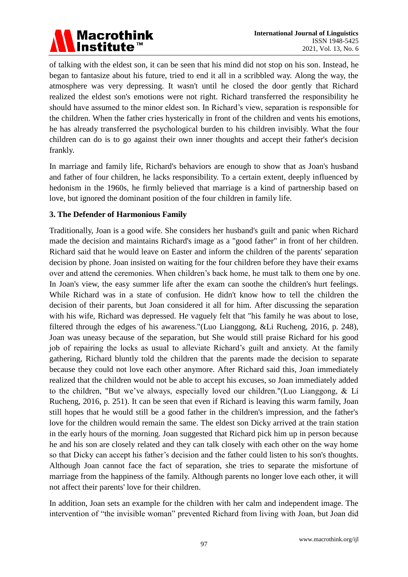

of talking with the eldest son, it can be seen that his mind did not stop on his son. Instead, he began to fantasize about his future, tried to end it all in a scribbled way. Along the way, the atmosphere was very depressing. It wasn't until he closed the door gently that Richard realized the eldest son's emotions were not right. Richard transferred the responsibility he should have assumed to the minor eldest son. In Richard"s view, separation is responsible for the children. When the father cries hysterically in front of the children and vents his emotions, he has already transferred the psychological burden to his children invisibly. What the four children can do is to go against their own inner thoughts and accept their father's decision frankly.

In marriage and family life, Richard's behaviors are enough to show that as Joan's husband and father of four children, he lacks responsibility. To a certain extent, deeply influenced by hedonism in the 1960s, he firmly believed that marriage is a kind of partnership based on love, but ignored the dominant position of the four children in family life.

# **3. The Defender of Harmonious Family**

Traditionally, Joan is a good wife. She considers her husband's guilt and panic when Richard made the decision and maintains Richard's image as a "good father" in front of her children. Richard said that he would leave on Easter and inform the children of the parents' separation decision by phone. Joan insisted on waiting for the four children before they have their exams over and attend the ceremonies. When children"s back home, he must talk to them one by one. In Joan's view, the easy summer life after the exam can soothe the children's hurt feelings. While Richard was in a state of confusion. He didn't know how to tell the children the decision of their parents, but Joan considered it all for him. After discussing the separation with his wife, Richard was depressed. He vaguely felt that "his family he was about to lose, filtered through the edges of his awareness."(Luo Lianggong, &Li Rucheng, 2016, p. 248), Joan was uneasy because of the separation, but She would still praise Richard for his good job of repairing the locks as usual to alleviate Richard"s guilt and anxiety. At the family gathering, Richard bluntly told the children that the parents made the decision to separate because they could not love each other anymore. After Richard said this, Joan immediately realized that the children would not be able to accept his excuses, so Joan immediately added to the children, "But we"ve always, especially loved our children."(Luo Lianggong, & Li Rucheng, 2016, p. 251). It can be seen that even if Richard is leaving this warm family, Joan still hopes that he would still be a good father in the children's impression, and the father's love for the children would remain the same. The eldest son Dicky arrived at the train station in the early hours of the morning. Joan suggested that Richard pick him up in person because he and his son are closely related and they can talk closely with each other on the way home so that Dicky can accept his father's decision and the father could listen to his son's thoughts. Although Joan cannot face the fact of separation, she tries to separate the misfortune of marriage from the happiness of the family. Although parents no longer love each other, it will not affect their parents' love for their children.

In addition, Joan sets an example for the children with her calm and independent image. The intervention of "the invisible woman" prevented Richard from living with Joan, but Joan did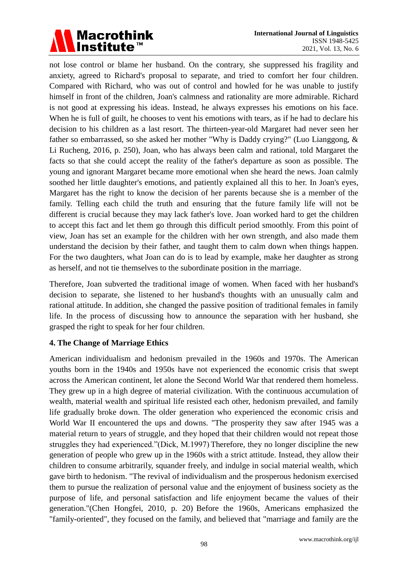

not lose control or blame her husband. On the contrary, she suppressed his fragility and anxiety, agreed to Richard's proposal to separate, and tried to comfort her four children. Compared with Richard, who was out of control and howled for he was unable to justify himself in front of the children, Joan's calmness and rationality are more admirable. Richard is not good at expressing his ideas. Instead, he always expresses his emotions on his face. When he is full of guilt, he chooses to vent his emotions with tears, as if he had to declare his decision to his children as a last resort. The thirteen-year-old Margaret had never seen her father so embarrassed, so she asked her mother "Why is Daddy crying?" (Luo Lianggong, & Li Rucheng, 2016, p. 250), Joan, who has always been calm and rational, told Margaret the facts so that she could accept the reality of the father's departure as soon as possible. The young and ignorant Margaret became more emotional when she heard the news. Joan calmly soothed her little daughter's emotions, and patiently explained all this to her. In Joan's eyes, Margaret has the right to know the decision of her parents because she is a member of the family. Telling each child the truth and ensuring that the future family life will not be different is crucial because they may lack father's love. Joan worked hard to get the children to accept this fact and let them go through this difficult period smoothly. From this point of view, Joan has set an example for the children with her own strength, and also made them understand the decision by their father, and taught them to calm down when things happen. For the two daughters, what Joan can do is to lead by example, make her daughter as strong as herself, and not tie themselves to the subordinate position in the marriage.

Therefore, Joan subverted the traditional image of women. When faced with her husband's decision to separate, she listened to her husband's thoughts with an unusually calm and rational attitude. In addition, she changed the passive position of traditional females in family life. In the process of discussing how to announce the separation with her husband, she grasped the right to speak for her four children.

# **4. The Change of Marriage Ethics**

American individualism and hedonism prevailed in the 1960s and 1970s. The American youths born in the 1940s and 1950s have not experienced the economic crisis that swept across the American continent, let alone the Second World War that rendered them homeless. They grew up in a high degree of material civilization. With the continuous accumulation of wealth, material wealth and spiritual life resisted each other, hedonism prevailed, and family life gradually broke down. The older generation who experienced the economic crisis and World War II encountered the ups and downs. "The prosperity they saw after 1945 was a material return to years of struggle, and they hoped that their children would not repeat those struggles they had experienced."(Dick, M.1997) Therefore, they no longer discipline the new generation of people who grew up in the 1960s with a strict attitude. Instead, they allow their children to consume arbitrarily, squander freely, and indulge in social material wealth, which gave birth to hedonism. "The revival of individualism and the prosperous hedonism exercised them to pursue the realization of personal value and the enjoyment of business society as the purpose of life, and personal satisfaction and life enjoyment became the values of their generation."(Chen Hongfei, 2010, p. 20) Before the 1960s, Americans emphasized the "family-oriented", they focused on the family, and believed that "marriage and family are the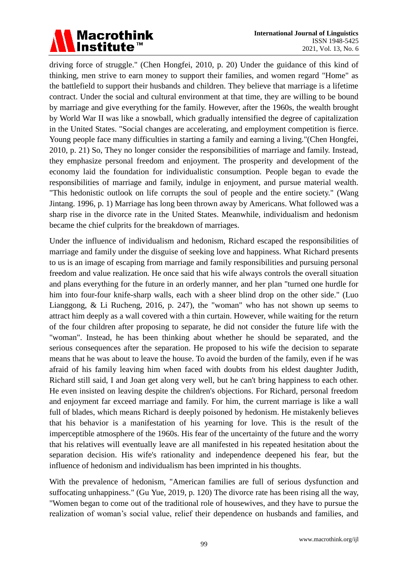

driving force of struggle." (Chen Hongfei, 2010, p. 20) Under the guidance of this kind of thinking, men strive to earn money to support their families, and women regard "Home" as the battlefield to support their husbands and children. They believe that marriage is a lifetime contract. Under the social and cultural environment at that time, they are willing to be bound by marriage and give everything for the family. However, after the 1960s, the wealth brought by World War II was like a snowball, which gradually intensified the degree of capitalization in the United States. "Social changes are accelerating, and employment competition is fierce. Young people face many difficulties in starting a family and earning a living."(Chen Hongfei, 2010, p. 21) So, They no longer consider the responsibilities of marriage and family. Instead, they emphasize personal freedom and enjoyment. The prosperity and development of the economy laid the foundation for individualistic consumption. People began to evade the responsibilities of marriage and family, indulge in enjoyment, and pursue material wealth. "This hedonistic outlook on life corrupts the soul of people and the entire society." (Wang Jintang. 1996, p. 1) Marriage has long been thrown away by Americans. What followed was a sharp rise in the divorce rate in the United States. Meanwhile, individualism and hedonism became the chief culprits for the breakdown of marriages.

Under the influence of individualism and hedonism, Richard escaped the responsibilities of marriage and family under the disguise of seeking love and happiness. What Richard presents to us is an image of escaping from marriage and family responsibilities and pursuing personal freedom and value realization. He once said that his wife always controls the overall situation and plans everything for the future in an orderly manner, and her plan "turned one hurdle for him into four-four knife-sharp walls, each with a sheer blind drop on the other side." (Luo Lianggong, & Li Rucheng, 2016, p. 247), the "woman" who has not shown up seems to attract him deeply as a wall covered with a thin curtain. However, while waiting for the return of the four children after proposing to separate, he did not consider the future life with the "woman". Instead, he has been thinking about whether he should be separated, and the serious consequences after the separation. He proposed to his wife the decision to separate means that he was about to leave the house. To avoid the burden of the family, even if he was afraid of his family leaving him when faced with doubts from his eldest daughter Judith, Richard still said, I and Joan get along very well, but he can't bring happiness to each other. He even insisted on leaving despite the children's objections. For Richard, personal freedom and enjoyment far exceed marriage and family. For him, the current marriage is like a wall full of blades, which means Richard is deeply poisoned by hedonism. He mistakenly believes that his behavior is a manifestation of his yearning for love. This is the result of the imperceptible atmosphere of the 1960s. His fear of the uncertainty of the future and the worry that his relatives will eventually leave are all manifested in his repeated hesitation about the separation decision. His wife's rationality and independence deepened his fear, but the influence of hedonism and individualism has been imprinted in his thoughts.

With the prevalence of hedonism, "American families are full of serious dysfunction and suffocating unhappiness." (Gu Yue, 2019, p. 120) The divorce rate has been rising all the way, "Women began to come out of the traditional role of housewives, and they have to pursue the realization of woman"s social value, relief their dependence on husbands and families, and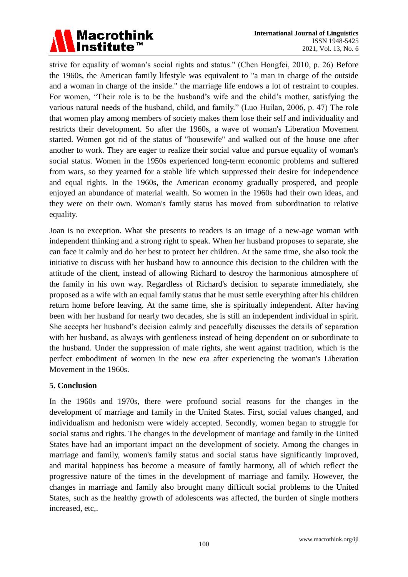

strive for equality of woman's social rights and status." (Chen Hongfei, 2010, p. 26) Before the 1960s, the American family lifestyle was equivalent to "a man in charge of the outside and a woman in charge of the inside." the marriage life endows a lot of restraint to couples. For women, "Their role is to be the husband"s wife and the child"s mother, satisfying the various natural needs of the husband, child, and family." (Luo Huilan, 2006, p. 47) The role that women play among members of society makes them lose their self and individuality and restricts their development. So after the 1960s, a wave of woman's Liberation Movement started. Women got rid of the status of "housewife" and walked out of the house one after another to work. They are eager to realize their social value and pursue equality of woman's social status. Women in the 1950s experienced long-term economic problems and suffered from wars, so they yearned for a stable life which suppressed their desire for independence and equal rights. In the 1960s, the American economy gradually prospered, and people enjoyed an abundance of material wealth. So women in the 1960s had their own ideas, and they were on their own. Woman's family status has moved from subordination to relative equality.

Joan is no exception. What she presents to readers is an image of a new-age woman with independent thinking and a strong right to speak. When her husband proposes to separate, she can face it calmly and do her best to protect her children. At the same time, she also took the initiative to discuss with her husband how to announce this decision to the children with the attitude of the client, instead of allowing Richard to destroy the harmonious atmosphere of the family in his own way. Regardless of Richard's decision to separate immediately, she proposed as a wife with an equal family status that he must settle everything after his children return home before leaving. At the same time, she is spiritually independent. After having been with her husband for nearly two decades, she is still an independent individual in spirit. She accepts her husband"s decision calmly and peacefully discusses the details of separation with her husband, as always with gentleness instead of being dependent on or subordinate to the husband. Under the suppression of male rights, she went against tradition, which is the perfect embodiment of women in the new era after experiencing the woman's Liberation Movement in the 1960s.

#### **5. Conclusion**

In the 1960s and 1970s, there were profound social reasons for the changes in the development of marriage and family in the United States. First, social values changed, and individualism and hedonism were widely accepted. Secondly, women began to struggle for social status and rights. The changes in the development of marriage and family in the United States have had an important impact on the development of society. Among the changes in marriage and family, women's family status and social status have significantly improved, and marital happiness has become a measure of family harmony, all of which reflect the progressive nature of the times in the development of marriage and family. However, the changes in marriage and family also brought many difficult social problems to the United States, such as the healthy growth of adolescents was affected, the burden of single mothers increased, etc,.